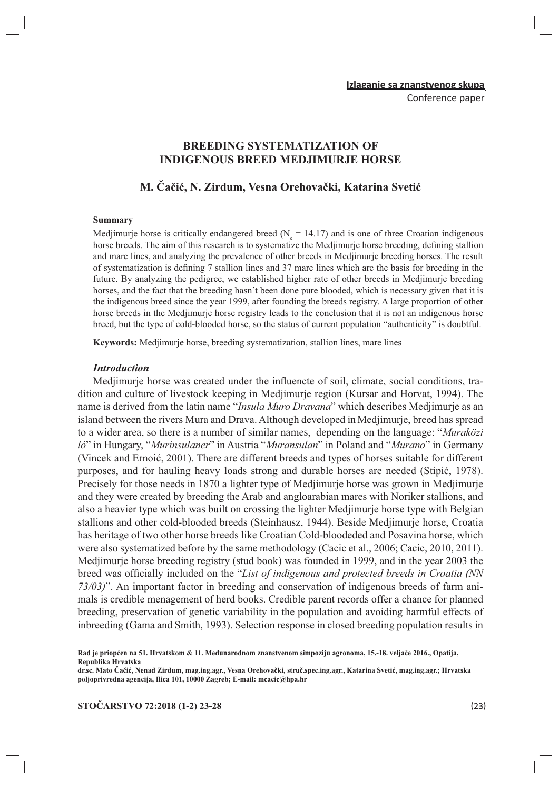# **BREEDING SYSTEMATIZATION OF INDIGENOUS BREED MEDJIMURJE HORSE**

## M. Čačić. N. Zirdum. Vesna Orehovački, Katarina Svetić

#### Summary

Mediimurje horse is critically endangered breed ( $N = 14.17$ ) and is one of three Croatian indigenous horse breeds. The aim of this research is to systematize the Medjimurje horse breeding, defining stallion and mare lines, and analyzing the prevalence of other breeds in Medjimurje breeding horses. The result of systematization is defining 7 stallion lines and 37 mare lines which are the basis for breeding in the future. By analyzing the pedigree, we established higher rate of other breeds in Medjimurje breeding horses, and the fact that the breeding hasn't been done pure blooded, which is necessary given that it is the indigenous breed since the year 1999, after founding the breeds registry. A large proportion of other horse breeds in the Medjimurje horse registry leads to the conclusion that it is not an indigenous horse breed, but the type of cold-blooded horse, so the status of current population "authenticity" is doubtful.

Keywords: Medjimurje horse, breeding systematization, stallion lines, mare lines

#### **Introduction**

Medjimurje horse was created under the influencte of soil, climate, social conditions, tradition and culture of livestock keeping in Medjimurje region (Kursar and Horvat, 1994). The name is derived from the latin name "Insula Muro Dravana" which describes Mediimurie as an island between the rivers Mura and Drava. Although developed in Medjimurje, breed has spread to a wider area, so there is a number of similar names, depending on the language: "Muraközi ló" in Hungary, "Murinsulaner" in Austria "Muransulan" in Poland and "Murano" in Germany (Vincek and Ernoić, 2001). There are different breeds and types of horses suitable for different purposes, and for hauling heavy loads strong and durable horses are needed (Stipić, 1978). Precisely for those needs in 1870 a lighter type of Mediimurie horse was grown in Mediimurie and they were created by breeding the Arab and angloarabian mares with Noriker stallions, and also a heavier type which was built on crossing the lighter Medjimurje horse type with Belgian stallions and other cold-blooded breeds (Steinhausz, 1944). Beside Medjimurje horse, Croatia has heritage of two other horse breeds like Croatian Cold-bloodeded and Posavina horse, which were also systematized before by the same methodology (Cacic et al., 2006; Cacic, 2010, 2011). Medjimurje horse breeding registry (stud book) was founded in 1999, and in the year 2003 the breed was officially included on the "List of indigenous and protected breeds in Croatia (NN 73/03)". An important factor in breeding and conservation of indigenous breeds of farm animals is credible menagement of herd books. Credible parent records offer a chance for planned breeding, preservation of genetic variability in the population and avoiding harmful effects of inbreeding (Gama and Smith, 1993). Selection response in closed breeding population results in

Rad je priopćen na 51. Hrvatskom & 11. Međunarodnom znanstvenom simpoziju agronoma, 15.-18. veljače 2016., Opatija, Republika Hrvatska

dr.sc. Mato Čačić, Nenad Zirdum, mag.ing.agr., Vesna Orehovački, struč.spec.ing.agr., Katarina Svetić, mag.ing.agr.; Hrvatska poljoprivredna agencija, Ilica 101, 10000 Zagreb; E-mail: mcacic@hpa.hr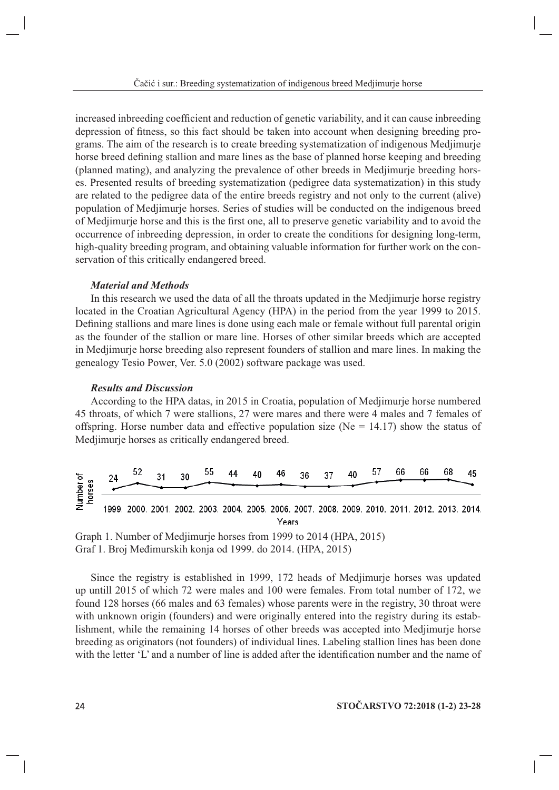increased inbreeding coefficient and reduction of genetic variability, and it can cause inbreeding depression of fitness, so this fact should be taken into account when designing breeding programs. The aim of the research is to create breeding systematization of indigenous Medjimurje horse breed defining stallion and mare lines as the base of planned horse keeping and breeding (planned mating), and analyzing the prevalence of other breeds in Medjimurje breeding horses. Presented results of breeding systematization (pedigree data systematization) in this study are related to the pedigree data of the entire breeds registry and not only to the current (alive) population of Medjimurje horses. Series of studies will be conducted on the indigenous breed of Mediimurie horse and this is the first one, all to preserve genetic variability and to avoid the occurrence of inbreeding depression, in order to create the conditions for designing long-term, high-quality breeding program, and obtaining valuable information for further work on the conservation of this critically endangered breed.

### **Material and Methods**

In this research we used the data of all the throats updated in the Meditimurie horse registry located in the Croatian Agricultural Agency (HPA) in the period from the year 1999 to 2015. Defining stallions and mare lines is done using each male or female without full parental origin as the founder of the stallion or mare line. Horses of other similar breeds which are accepted in Mediimurje horse breeding also represent founders of stallion and mare lines. In making the genealogy Tesio Power, Ver. 5.0 (2002) software package was used.

# **Results and Discussion**

According to the HPA datas, in 2015 in Croatia, population of Medijmurje horse numbered 45 throats, of which 7 were stallions, 27 were mares and there were 4 males and 7 females of offspring. Horse number data and effective population size ( $Ne = 14.17$ ) show the status of Medjimurje horses as critically endangered breed.



Graph 1. Number of Mediimurie horses from 1999 to 2014 (HPA, 2015) Graf 1. Broj Međimurskih konja od 1999. do 2014. (HPA, 2015)

Since the registry is established in 1999, 172 heads of Mediimurie horses was updated up untill 2015 of which 72 were males and 100 were females. From total number of 172, we found 128 horses (66 males and 63 females) whose parents were in the registry, 30 throat were with unknown origin (founders) and were originally entered into the registry during its establishment, while the remaining 14 horses of other breeds was accepted into Medjimurje horse breeding as originators (not founders) of individual lines. Labeling stallion lines has been done with the letter 'L' and a number of line is added after the identification number and the name of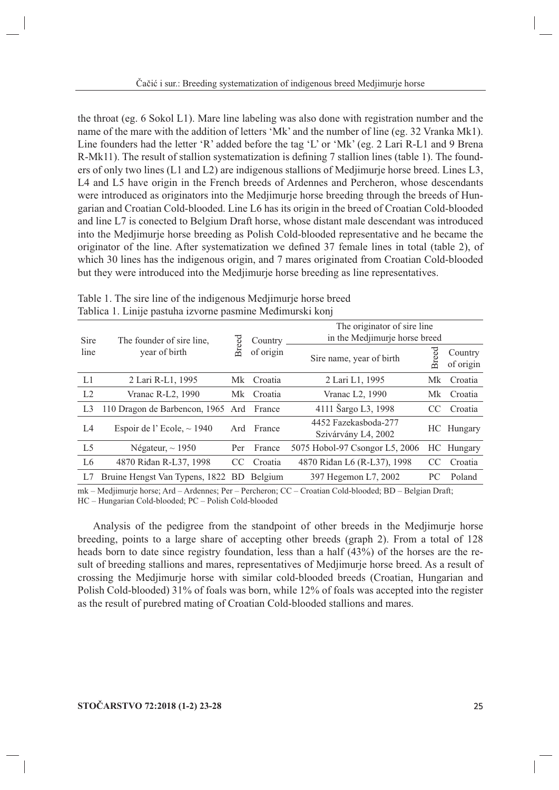the throat (eg. 6 Sokol L1). Mare line labeling was also done with registration number and the name of the mare with the addition of letters 'Mk' and the number of line (eg. 32 Vranka Mk1). Line founders had the letter 'R' added before the tag 'L' or 'Mk' (eg. 2 Lari R-L1 and 9 Brena R-Mk11). The result of stallion systematization is defining 7 stallion lines (table 1). The founders of only two lines ( $L1$  and  $L2$ ) are indigenous stallions of Mediimurie horse breed. Lines  $L3$ , L4 and L5 have origin in the French breeds of Ardennes and Percheron, whose descendants were introduced as originators into the Medjimurje horse breeding through the breeds of Hungarian and Croatian Cold-blooded. Line L6 has its origin in the breed of Croatian Cold-blooded and line L7 is conected to Belgium Draft horse, whose distant male descendant was introduced into the Mediimurie horse breeding as Polish Cold-blooded representative and he became the originator of the line. After systematization we defined 37 female lines in total (table 2), of which 30 lines has the indigenous origin, and 7 mares originated from Croatian Cold-blooded but they were introduced into the Medjimurje horse breeding as line representatives.

|                | $\mathbf{I}$                               |       |                      |                                                              |       |                      |  |  |
|----------------|--------------------------------------------|-------|----------------------|--------------------------------------------------------------|-------|----------------------|--|--|
| Sire<br>line   | The founder of sire line,<br>year of birth | Breed | Country<br>of origin | The originator of sire line<br>in the Medjimurje horse breed |       |                      |  |  |
|                |                                            |       |                      | Sire name, year of birth                                     | Breed | Country<br>of origin |  |  |
| L1             | 2 Lari R-L1, 1995                          | Mk    | Croatia              | 2 Lari L1, 1995                                              | Mk    | Croatia              |  |  |
| L2             | Vranac R-L2, 1990                          |       | Mk Croatia           | Vranac L <sub>2</sub> , 1990                                 | Mk    | Croatia              |  |  |
| L <sub>3</sub> | 110 Dragon de Barbencon, 1965 Ard          |       | France               | 4111 Šargo L3, 1998                                          | CC    | Croatia              |  |  |
| L4             | Espoir de l'Ecole, $\sim$ 1940             | Ard   | France               | 4452 Fazekasboda-277<br>Szivárvány L4, 2002                  |       | HC Hungary           |  |  |
| L <sub>5</sub> | Négateur, $\sim$ 1950                      | Per   | France               | 5075 Hobol-97 Csongor L5, 2006                               |       | HC Hungary           |  |  |
| L <sub>6</sub> | 4870 Ridan R-L37, 1998                     | CC    | Croatia              | 4870 Ridan L6 (R-L37), 1998                                  | CC.   | Croatia              |  |  |
| L7             | Bruine Hengst Van Typens, 1822             | BD.   | Belgium              | 397 Hegemon L7, 2002                                         | PC.   | Poland               |  |  |

Table 1. The sire line of the indigenous Mediimurje horse breed Tablica 1. Linije pastuha izvorne pasmine Međimurski koni

mk – Medjimurje horse; Ard – Ardennes; Per – Percheron; CC – Croatian Cold-blooded; BD – Belgian Draft; HC - Hungarian Cold-blooded; PC - Polish Cold-blooded

Analysis of the pedigree from the standpoint of other breeds in the Medjimurje horse breeding, points to a large share of accepting other breeds (graph 2). From a total of 128 heads born to date since registry foundation, less than a half (43%) of the horses are the result of breeding stallions and mares, representatives of Medjimurje horse breed. As a result of crossing the Medjimurje horse with similar cold-blooded breeds (Croatian, Hungarian and Polish Cold-blooded) 31% of foals was born, while 12% of foals was accepted into the register as the result of purebred mating of Croatian Cold-blooded stallions and mares.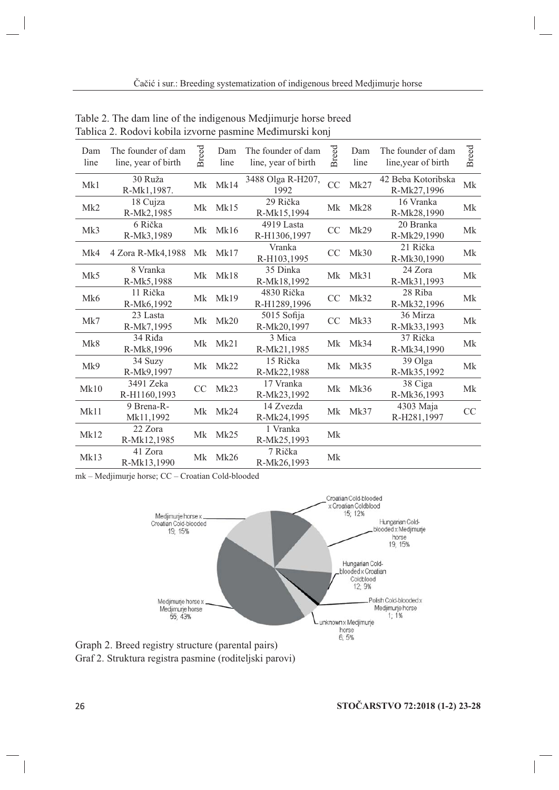| Dam<br>line | The founder of dam<br>line, year of birth | <b>Breed</b>  | Dam<br>line | The founder of dam<br>line, year of birth | <b>Breed</b>  | Dam<br>line | The founder of dam<br>line, year of birth | <b>Breed</b> |
|-------------|-------------------------------------------|---------------|-------------|-------------------------------------------|---------------|-------------|-------------------------------------------|--------------|
| Mk1         | 30 Ruža<br>R-Mk1,1987.                    | Mk            | Mk14        | 3488 Olga R-H207,<br>1992                 | CC            | Mk27        | 42 Beba Kotoribska<br>R-Mk27,1996         | Mk           |
| Mk2         | 18 Cujza<br>R-Mk2,1985                    |               | Mk Mk15     | 29 Rička<br>R-Mk15,1994                   | Mk            | Mk28        | 16 Vranka<br>R-Mk28,1990                  | Mk           |
| Mk3         | 6 Rička<br>R-Mk3,1989                     | Mk            | Mk16        | 4919 Lasta<br>R-H1306,1997                | CC            | Mk29        | 20 Branka<br>R-Mk29,1990                  | <b>Mk</b>    |
| Mk4         | 4 Zora R-Mk4,1988                         | Mk            | Mk17        | Vranka<br>R-H103,1995                     | <sub>CC</sub> | Mk30        | 21 Rička<br>R-Mk30,1990                   | Mk           |
| Mk5         | 8 Vranka<br>R-Mk5,1988                    | Mk            | Mk18        | 35 Dinka<br>R-Mk18,1992                   | Mk            | Mk31        | 24 Zora<br>R-Mk31,1993                    | Mk           |
| Mk6         | 11 Rička<br>R-Mk6,1992                    |               | Mk Mk19     | 4830 Rička<br>R-H1289,1996                | CC            | Mk32        | 28 Riba<br>R-Mk32,1996                    | Mk           |
| Mk7         | 23 Lasta<br>R-Mk7,1995                    | Mk            | Mk20        | 5015 Sofija<br>R-Mk20,1997                | CC            | Mk33        | 36 Mirza<br>R-Mk33,1993                   | Mk           |
| Mk8         | 34 Riđa<br>R-Mk8,1996                     | Mk            | Mk21        | 3 Mica<br>R-Mk21,1985                     | Mk            | Mk34        | 37 Rička<br>R-Mk34,1990                   | Mk           |
| Mk9         | 34 Suzy<br>R-Mk9,1997                     | Mk            | Mk22        | 15 Rička<br>R-Mk22,1988                   | Mk            | Mk35        | 39 Olga<br>R-Mk35,1992                    | Mk           |
| Mk10        | 3491 Zeka<br>R-H1160,1993                 | <sub>CC</sub> | Mk23        | 17 Vranka<br>R-Mk23,1992                  | Mk            | Mk36        | 38 Ciga<br>R-Mk36,1993                    | Mk           |
| Mk11        | 9 Brena-R-<br>Mk11,1992                   | Mk            | Mk24        | 14 Zvezda<br>R-Mk24,1995                  | Mk            | Mk37        | 4303 Maja<br>R-H281,1997                  | CC           |
| Mk12        | 22 Zora<br>R-Mk12,1985                    | Mk            | Mk25        | 1 Vranka<br>R-Mk25,1993                   | Mk            |             |                                           |              |
| Mk13        | 41 Zora<br>R-Mk13,1990                    | Mk            | Mk26        | 7 Rička<br>R-Mk26,1993                    | Mk            |             |                                           |              |

Table 2. The dam line of the indigenous Medjimurje horse breed Tablica 2. Rodovi kobila izvorne pasmine Međimurski konj

mk - Medjimurje horse; CC - Croatian Cold-blooded



Graph 2. Breed registry structure (parental pairs) Graf 2. Struktura registra pasmine (roditeljski parovi)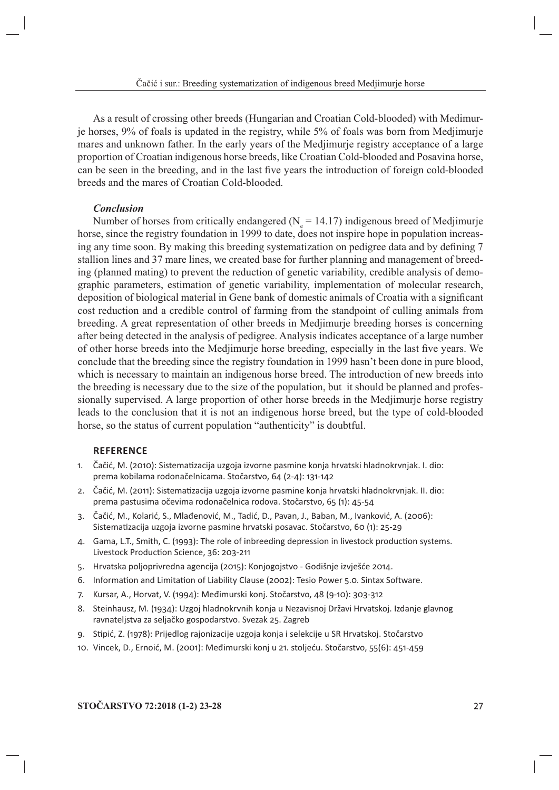As a result of crossing other breeds (Hungarian and Croatian Cold-blooded) with Medimurje horses, 9% of foals is updated in the registry, while 5% of foals was born from Medjimurje mares and unknown father. In the early years of the Medjimurje registry acceptance of a large proportion of Croatian indigenous horse breeds, like Croatian Cold-blooded and Posavina horse, can be seen in the breeding, and in the last five years the introduction of foreign cold-blooded breeds and the mares of Croatian Cold-blooded.

#### **Conclusion**

Number of horses from critically endangered ( $N_s = 14.17$ ) indigenous breed of Medjimurje horse, since the registry foundation in 1999 to date, does not inspire hope in population increasing any time soon. By making this breeding systematization on pedigree data and by defining 7 stallion lines and 37 mare lines, we created base for further planning and management of breeding (planned mating) to prevent the reduction of genetic variability, credible analysis of demographic parameters, estimation of genetic variability, implementation of molecular research, deposition of biological material in Gene bank of domestic animals of Croatia with a significant cost reduction and a credible control of farming from the standpoint of culling animals from breeding. A great representation of other breeds in Mediimurje breeding horses is concerning after being detected in the analysis of pedigree. Analysis indicates acceptance of a large number of other horse breeds into the Medjimurje horse breeding, especially in the last five years. We conclude that the breeding since the registry foundation in 1999 hasn't been done in pure blood, which is necessary to maintain an indigenous horse breed. The introduction of new breeds into the breeding is necessary due to the size of the population, but it should be planned and professionally supervised. A large proportion of other horse breeds in the Mediimurje horse registry leads to the conclusion that it is not an indigenous horse breed, but the type of cold-blooded horse, so the status of current population "authenticity" is doubtful.

### **REFERENCE**

- Čačić, M. (2010): Sistematizacija uzgoja izvorne pasmine konja hrvatski hladnokrvnjak. I. dio:  $1.$ prema kobilama rodonačelnicama. Stočarstvo, 64 (2-4): 131-142
- 2. Čačić, M. (2011): Sistematizacija uzgoja izvorne pasmine konja hrvatski hladnokrvnjak. II. dio: prema pastusima očevima rodonačelnica rodova. Stočarstvo, 65 (1): 45-54
- Čačić, M., Kolarić, S., Mlađenović, M., Tadić, D., Pavan, J., Baban, M., Ivanković, A. (2006):  $\mathcal{R}$ . Sistematizacija uzgoja izvorne pasmine hrvatski posavac. Stočarstvo, 60 (1): 25-29
- 4. Gama, L.T., Smith, C. (1993): The role of inbreeding depression in livestock production systems. Livestock Production Science, 36: 203-211
- 5. Hrvatska poljoprivredna agencija (2015): Konjogojstvo Godišnje izvješće 2014.
- 6. Information and Limitation of Liability Clause (2002): Tesio Power 5.0. Sintax Software.
- 7. Kursar, A., Horvat, V. (1994): Međimurski konj. Stočarstvo, 48 (9-10): 303-312
- 8. Steinhausz, M. (1934): Uzgoj hladnokrvnih konja u Nezavisnoj Državi Hrvatskoj. Izdanje glavnog ravnateljstva za seljačko gospodarstvo. Svezak 25. Zagreb
- 9. Stipić, Z. (1978): Prijedlog rajonizacije uzgoja konja i selekcije u SR Hrvatskoj. Stočarstvo
- 10. Vincek, D., Ernoić, M. (2001): Međimurski konj u 21. stoljeću. Stočarstvo, 55(6): 451-459

#### STOČARSTVO 72:2018 (1-2) 23-28